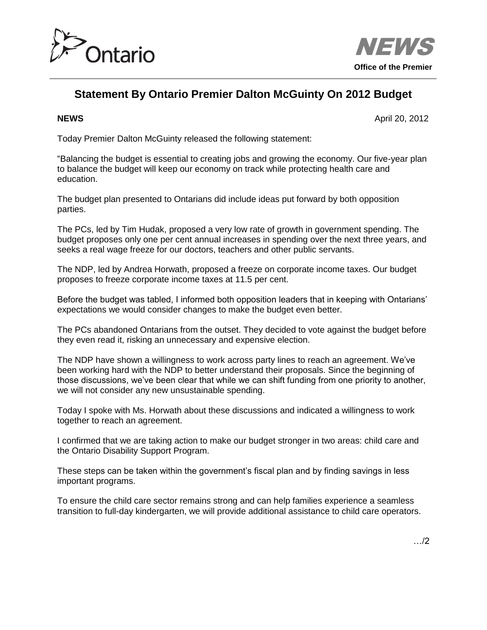



## **Statement By Ontario Premier Dalton McGuinty On 2012 Budget**

**NEWS** April 20, 2012

Today Premier Dalton McGuinty released the following statement:

"Balancing the budget is essential to creating jobs and growing the economy. Our five-year plan to balance the budget will keep our economy on track while protecting health care and education.

The budget plan presented to Ontarians did include ideas put forward by both opposition parties.

The PCs, led by Tim Hudak, proposed a very low rate of growth in government spending. The budget proposes only one per cent annual increases in spending over the next three years, and seeks a real wage freeze for our doctors, teachers and other public servants.

The NDP, led by Andrea Horwath, proposed a freeze on corporate income taxes. Our budget proposes to freeze corporate income taxes at 11.5 per cent.

Before the budget was tabled, I informed both opposition leaders that in keeping with Ontarians' expectations we would consider changes to make the budget even better.

The PCs abandoned Ontarians from the outset. They decided to vote against the budget before they even read it, risking an unnecessary and expensive election.

The NDP have shown a willingness to work across party lines to reach an agreement. We've been working hard with the NDP to better understand their proposals. Since the beginning of those discussions, we've been clear that while we can shift funding from one priority to another, we will not consider any new unsustainable spending.

Today I spoke with Ms. Horwath about these discussions and indicated a willingness to work together to reach an agreement.

I confirmed that we are taking action to make our budget stronger in two areas: child care and the Ontario Disability Support Program.

These steps can be taken within the government's fiscal plan and by finding savings in less important programs.

To ensure the child care sector remains strong and can help families experience a seamless transition to full-day kindergarten, we will provide additional assistance to child care operators.